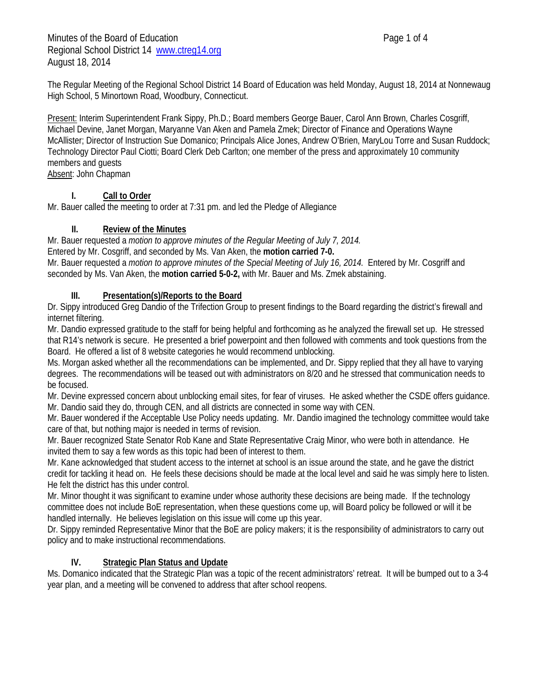Minutes of the Board of Education **Page 1 of 4** Regional School District 14 www.ctreg14.org August 18, 2014

The Regular Meeting of the Regional School District 14 Board of Education was held Monday, August 18, 2014 at Nonnewaug High School, 5 Minortown Road, Woodbury, Connecticut.

Present: Interim Superintendent Frank Sippy, Ph.D.; Board members George Bauer, Carol Ann Brown, Charles Cosgriff, Michael Devine, Janet Morgan, Maryanne Van Aken and Pamela Zmek; Director of Finance and Operations Wayne McAllister; Director of Instruction Sue Domanico; Principals Alice Jones, Andrew O'Brien, MaryLou Torre and Susan Ruddock; Technology Director Paul Ciotti; Board Clerk Deb Carlton; one member of the press and approximately 10 community members and guests Absent: John Chapman

### **I. Call to Order**

Mr. Bauer called the meeting to order at 7:31 pm. and led the Pledge of Allegiance

### **II. Review of the Minutes**

Mr. Bauer requested a *motion to approve minutes of the Regular Meeting of July 7, 2014.*

Entered by Mr. Cosgriff, and seconded by Ms. Van Aken, the **motion carried 7-0.** 

Mr. Bauer requested a *motion to approve minutes of the Special Meeting of July 16, 2014.* Entered by Mr. Cosgriff and seconded by Ms. Van Aken, the **motion carried 5-0-2,** with Mr. Bauer and Ms. Zmek abstaining.

### **III. Presentation(s)/Reports to the Board**

Dr. Sippy introduced Greg Dandio of the Trifection Group to present findings to the Board regarding the district's firewall and internet filtering.

Mr. Dandio expressed gratitude to the staff for being helpful and forthcoming as he analyzed the firewall set up. He stressed that R14's network is secure. He presented a brief powerpoint and then followed with comments and took questions from the Board. He offered a list of 8 website categories he would recommend unblocking.

Ms. Morgan asked whether all the recommendations can be implemented, and Dr. Sippy replied that they all have to varying degrees. The recommendations will be teased out with administrators on 8/20 and he stressed that communication needs to be focused.

Mr. Devine expressed concern about unblocking email sites, for fear of viruses. He asked whether the CSDE offers guidance. Mr. Dandio said they do, through CEN, and all districts are connected in some way with CEN.

Mr. Bauer wondered if the Acceptable Use Policy needs updating. Mr. Dandio imagined the technology committee would take care of that, but nothing major is needed in terms of revision.

Mr. Bauer recognized State Senator Rob Kane and State Representative Craig Minor, who were both in attendance. He invited them to say a few words as this topic had been of interest to them.

Mr. Kane acknowledged that student access to the internet at school is an issue around the state, and he gave the district credit for tackling it head on. He feels these decisions should be made at the local level and said he was simply here to listen. He felt the district has this under control.

Mr. Minor thought it was significant to examine under whose authority these decisions are being made. If the technology committee does not include BoE representation, when these questions come up, will Board policy be followed or will it be handled internally. He believes legislation on this issue will come up this year.

Dr. Sippy reminded Representative Minor that the BoE are policy makers; it is the responsibility of administrators to carry out policy and to make instructional recommendations.

## **IV. Strategic Plan Status and Update**

Ms. Domanico indicated that the Strategic Plan was a topic of the recent administrators' retreat. It will be bumped out to a 3-4 year plan, and a meeting will be convened to address that after school reopens.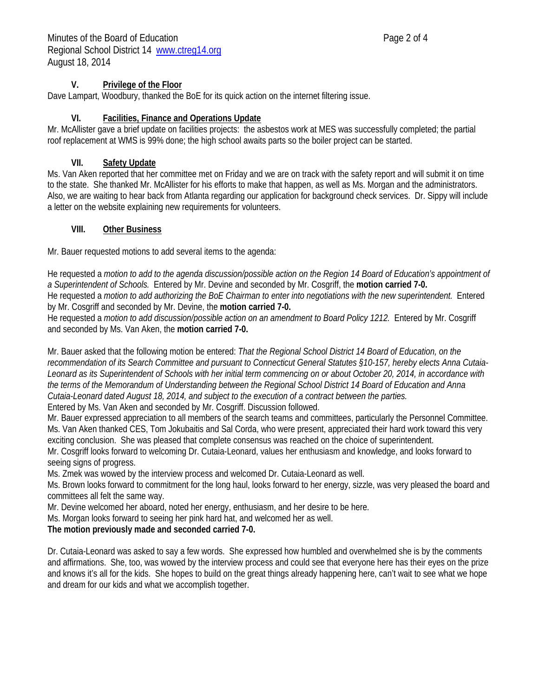# **V. Privilege of the Floor**

Dave Lampart, Woodbury, thanked the BoE for its quick action on the internet filtering issue.

#### **VI. Facilities, Finance and Operations Update**

Mr. McAllister gave a brief update on facilities projects: the asbestos work at MES was successfully completed; the partial roof replacement at WMS is 99% done; the high school awaits parts so the boiler project can be started.

#### **VII. Safety Update**

Ms. Van Aken reported that her committee met on Friday and we are on track with the safety report and will submit it on time to the state. She thanked Mr. McAllister for his efforts to make that happen, as well as Ms. Morgan and the administrators. Also, we are waiting to hear back from Atlanta regarding our application for background check services. Dr. Sippy will include a letter on the website explaining new requirements for volunteers.

#### **VIII. Other Business**

Mr. Bauer requested motions to add several items to the agenda:

He requested a *motion to add to the agenda discussion/possible action on the Region 14 Board of Education's appointment of a Superintendent of Schools.* Entered by Mr. Devine and seconded by Mr. Cosgriff, the **motion carried 7-0.**  He requested a *motion to add authorizing the BoE Chairman to enter into negotiations with the new superintendent.* Entered by Mr. Cosgriff and seconded by Mr. Devine, the **motion carried 7-0.** 

He requested a *motion to add discussion/possible action on an amendment to Board Policy 1212.* Entered by Mr. Cosgriff and seconded by Ms. Van Aken, the **motion carried 7-0.** 

Mr. Bauer asked that the following motion be entered: *That the Regional School District 14 Board of Education, on the recommendation of its Search Committee and pursuant to Connecticut General Statutes §10-157, hereby elects Anna Cutaia-Leonard as its Superintendent of Schools with her initial term commencing on or about October 20, 2014, in accordance with the terms of the Memorandum of Understanding between the Regional School District 14 Board of Education and Anna Cutaia-Leonard dated August 18, 2014, and subject to the execution of a contract between the parties.* Entered by Ms. Van Aken and seconded by Mr. Cosgriff. Discussion followed.

Mr. Bauer expressed appreciation to all members of the search teams and committees, particularly the Personnel Committee. Ms. Van Aken thanked CES, Tom Jokubaitis and Sal Corda, who were present, appreciated their hard work toward this very exciting conclusion. She was pleased that complete consensus was reached on the choice of superintendent. Mr. Cosgriff looks forward to welcoming Dr. Cutaia-Leonard, values her enthusiasm and knowledge, and looks forward to

seeing signs of progress.

Ms. Zmek was wowed by the interview process and welcomed Dr. Cutaia-Leonard as well.

Ms. Brown looks forward to commitment for the long haul, looks forward to her energy, sizzle, was very pleased the board and committees all felt the same way.

Mr. Devine welcomed her aboard, noted her energy, enthusiasm, and her desire to be here.

Ms. Morgan looks forward to seeing her pink hard hat, and welcomed her as well.

#### **The motion previously made and seconded carried 7-0.**

Dr. Cutaia-Leonard was asked to say a few words. She expressed how humbled and overwhelmed she is by the comments and affirmations. She, too, was wowed by the interview process and could see that everyone here has their eyes on the prize and knows it's all for the kids. She hopes to build on the great things already happening here, can't wait to see what we hope and dream for our kids and what we accomplish together.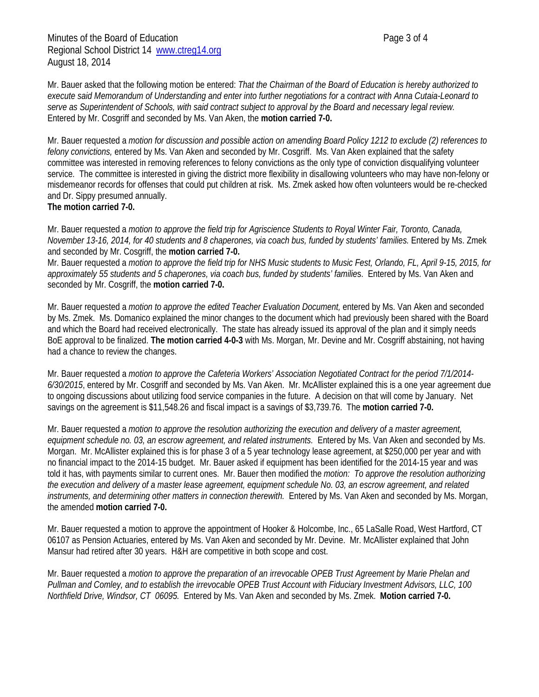Mr. Bauer asked that the following motion be entered: *That the Chairman of the Board of Education is hereby authorized to execute said Memorandum of Understanding and enter into further negotiations for a contract with Anna Cutaia-Leonard to serve as Superintendent of Schools, with said contract subject to approval by the Board and necessary legal review.*  Entered by Mr. Cosgriff and seconded by Ms. Van Aken, the **motion carried 7-0.** 

Mr. Bauer requested a *motion for discussion and possible action on amending Board Policy 1212 to exclude (2) references to felony convictions,* entered by Ms. Van Aken and seconded by Mr. Cosgriff. Ms. Van Aken explained that the safety committee was interested in removing references to felony convictions as the only type of conviction disqualifying volunteer service. The committee is interested in giving the district more flexibility in disallowing volunteers who may have non-felony or misdemeanor records for offenses that could put children at risk. Ms. Zmek asked how often volunteers would be re-checked and Dr. Sippy presumed annually.

#### **The motion carried 7-0.**

Mr. Bauer requested a *motion to approve the field trip for Agriscience Students to Royal Winter Fair, Toronto, Canada, November 13-16, 2014, for 40 students and 8 chaperones, via coach bus, funded by students' families.* Entered by Ms. Zmek and seconded by Mr. Cosgriff, the **motion carried 7-0.**

Mr. Bauer requested a *motion to approve the field trip for NHS Music students to Music Fest, Orlando, FL, April 9-15, 2015, for approximately 55 students and 5 chaperones, via coach bus, funded by students' familie*s. Entered by Ms. Van Aken and seconded by Mr. Cosgriff, the **motion carried 7-0.** 

Mr. Bauer requested a *motion to approve the edited Teacher Evaluation Document,* entered by Ms. Van Aken and seconded by Ms. Zmek. Ms. Domanico explained the minor changes to the document which had previously been shared with the Board and which the Board had received electronically. The state has already issued its approval of the plan and it simply needs BoE approval to be finalized. **The motion carried 4-0-3** with Ms. Morgan, Mr. Devine and Mr. Cosgriff abstaining, not having had a chance to review the changes.

Mr. Bauer requested a *motion to approve the Cafeteria Workers' Association Negotiated Contract for the period 7/1/2014- 6/30/2015*, entered by Mr. Cosgriff and seconded by Ms. Van Aken. Mr. McAllister explained this is a one year agreement due to ongoing discussions about utilizing food service companies in the future. A decision on that will come by January. Net savings on the agreement is \$11,548.26 and fiscal impact is a savings of \$3,739.76. The **motion carried 7-0.** 

Mr. Bauer requested a *motion to approve the resolution authorizing the execution and delivery of a master agreement, equipment schedule no. 03, an escrow agreement, and related instruments.* Entered by Ms. Van Aken and seconded by Ms. Morgan. Mr. McAllister explained this is for phase 3 of a 5 year technology lease agreement, at \$250,000 per year and with no financial impact to the 2014-15 budget. Mr. Bauer asked if equipment has been identified for the 2014-15 year and was told it has, with payments similar to current ones. Mr. Bauer then modified the *motion: To approve the resolution authorizing the execution and delivery of a master lease agreement, equipment schedule No. 03, an escrow agreement, and related instruments, and determining other matters in connection therewith.* Entered by Ms. Van Aken and seconded by Ms. Morgan, the amended **motion carried 7-0.** 

Mr. Bauer requested a motion to approve the appointment of Hooker & Holcombe, Inc., 65 LaSalle Road, West Hartford, CT 06107 as Pension Actuaries, entered by Ms. Van Aken and seconded by Mr. Devine. Mr. McAllister explained that John Mansur had retired after 30 years. H&H are competitive in both scope and cost.

Mr. Bauer requested a *motion to approve the preparation of an irrevocable OPEB Trust Agreement by Marie Phelan and Pullman and Comley, and to establish the irrevocable OPEB Trust Account with Fiduciary Investment Advisors, LLC, 100 Northfield Drive, Windsor, CT 06095.* Entered by Ms. Van Aken and seconded by Ms. Zmek. **Motion carried 7-0.**